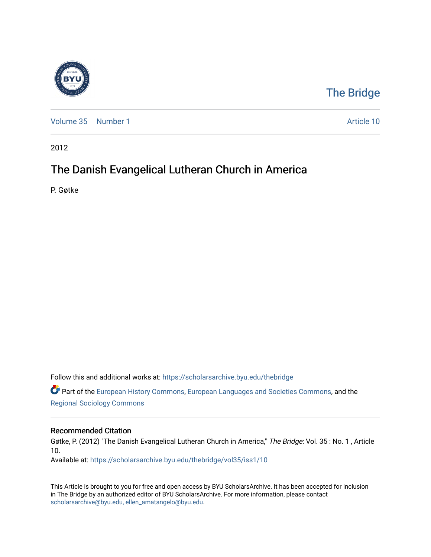

## [The Bridge](https://scholarsarchive.byu.edu/thebridge)

[Volume 35](https://scholarsarchive.byu.edu/thebridge/vol35) | [Number 1](https://scholarsarchive.byu.edu/thebridge/vol35/iss1) Article 10

2012

## The Danish Evangelical Lutheran Church in America

P. Gøtke

Follow this and additional works at: [https://scholarsarchive.byu.edu/thebridge](https://scholarsarchive.byu.edu/thebridge?utm_source=scholarsarchive.byu.edu%2Fthebridge%2Fvol35%2Fiss1%2F10&utm_medium=PDF&utm_campaign=PDFCoverPages) 

**C** Part of the [European History Commons](http://network.bepress.com/hgg/discipline/492?utm_source=scholarsarchive.byu.edu%2Fthebridge%2Fvol35%2Fiss1%2F10&utm_medium=PDF&utm_campaign=PDFCoverPages), [European Languages and Societies Commons,](http://network.bepress.com/hgg/discipline/482?utm_source=scholarsarchive.byu.edu%2Fthebridge%2Fvol35%2Fiss1%2F10&utm_medium=PDF&utm_campaign=PDFCoverPages) and the [Regional Sociology Commons](http://network.bepress.com/hgg/discipline/427?utm_source=scholarsarchive.byu.edu%2Fthebridge%2Fvol35%2Fiss1%2F10&utm_medium=PDF&utm_campaign=PDFCoverPages) 

## Recommended Citation

Gøtke, P. (2012) "The Danish Evangelical Lutheran Church in America," The Bridge: Vol. 35 : No. 1 , Article 10.

Available at: [https://scholarsarchive.byu.edu/thebridge/vol35/iss1/10](https://scholarsarchive.byu.edu/thebridge/vol35/iss1/10?utm_source=scholarsarchive.byu.edu%2Fthebridge%2Fvol35%2Fiss1%2F10&utm_medium=PDF&utm_campaign=PDFCoverPages)

This Article is brought to you for free and open access by BYU ScholarsArchive. It has been accepted for inclusion in The Bridge by an authorized editor of BYU ScholarsArchive. For more information, please contact [scholarsarchive@byu.edu, ellen\\_amatangelo@byu.edu](mailto:scholarsarchive@byu.edu,%20ellen_amatangelo@byu.edu).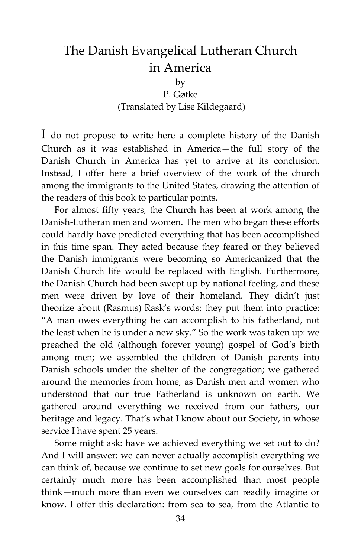## The Danish Evangelical Lutheran Church in America

by

P. Gøtke (Translated by Lise Kildegaard)

I do not propose to write here a complete history of the Danish Church as it was established in America—the full story of the Danish Church in America has yet to arrive at its conclusion. Instead, I offer here a brief overview of the work of the church among the immigrants to the United States, drawing the attention of the readers of this book to particular points.

For almost fifty years, the Church has been at work among the Danish-Lutheran men and women. The men who began these efforts could hardly have predicted everything that has been accomplished in this time span. They acted because they feared or they believed the Danish immigrants were becoming so Americanized that the Danish Church life would be replaced with English. Furthermore, the Danish Church had been swept up by national feeling, and these men were driven by love of their homeland. They didn't just theorize about (Rasmus) Rask's words; they put them into practice: "A man owes everything he can accomplish to his fatherland, not the least when he is under a new sky." So the work was taken up: we preached the old (although forever young) gospel of God's birth among men; we assembled the children of Danish parents into Danish schools under the shelter of the congregation; we gathered around the memories from home, as Danish men and women who understood that our true Fatherland is unknown on earth. We gathered around everything we received from our fathers, our heritage and legacy. That's what I know about our Society, in whose service I have spent 25 years.

Some might ask: have we achieved everything we set out to do? And I will answer: we can never actually accomplish everything we can think of, because we continue to set new goals for ourselves. But certainly much more has been accomplished than most people think—much more than even we ourselves can readily imagine or know. I offer this declaration: from sea to sea, from the Atlantic to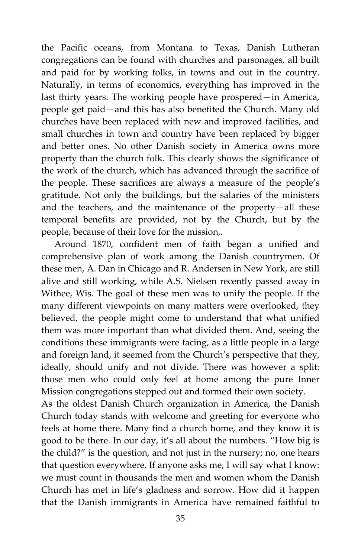the Pacific oceans, from Montana to Texas, Danish Lutheran congregations can be found with churches and parsonages, all built and paid for by working folks, in towns and out in the country. Naturally, in terms of economics, everything has improved in the last thirty years. The working people have prospered—in America, people get paid—and this has also benefited the Church. Many old churches have been replaced with new and improved facilities, and small churches in town and country have been replaced by bigger and better ones. No other Danish society in America owns more property than the church folk. This clearly shows the significance of the work of the church, which has advanced through the sacrifice of the people. These sacrifices are always a measure of the people's gratitude. Not only the buildings, but the salaries of the ministers and the teachers, and the maintenance of the property—all these temporal benefits are provided, not by the Church, but by the people, because of their love for the mission,.

Around 1870, confident men of faith began a unified and comprehensive plan of work among the Danish countrymen. Of these men, A. Dan in Chicago and R. Andersen in New York, are still alive and still working, while A.S. Nielsen recently passed away in Withee, Wis. The goal of these men was to unify the people. If the many different viewpoints on many matters were overlooked, they believed, the people might come to understand that what unified them was more important than what divided them. And, seeing the conditions these immigrants were facing, as a little people in a large and foreign land, it seemed from the Church's perspective that they, ideally, should unify and not divide. There was however a split: those men who could only feel at home among the pure Inner Mission congregations stepped out and formed their own society.

As the oldest Danish Church organization in America, the Danish Church today stands with welcome and greeting for everyone who feels at home there. Many find a church home, and they know it is good to be there. In our day, it's all about the numbers. "How big is the child?" is the question, and not just in the nursery; no, one hears that question everywhere. If anyone asks me, I will say what I know: we must count in thousands the men and women whom the Danish Church has met in life's gladness and sorrow. How did it happen that the Danish immigrants in America have remained faithful to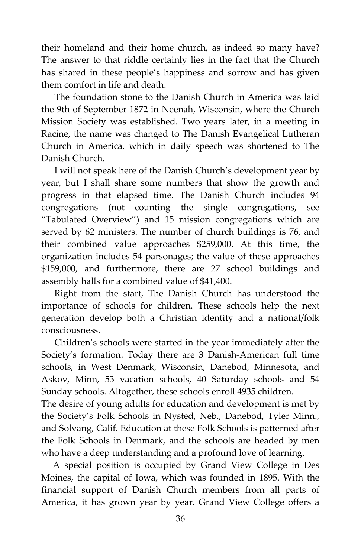their homeland and their home church, as indeed so many have? The answer to that riddle certainly lies in the fact that the Church has shared in these people's happiness and sorrow and has given them comfort in life and death.

The foundation stone to the Danish Church in America was laid the 9th of September 1872 in Neenah, Wisconsin, where the Church Mission Society was established. Two years later, in a meeting in Racine, the name was changed to The Danish Evangelical Lutheran Church in America, which in daily speech was shortened to The Danish Church.

I will not speak here of the Danish Church's development year by year, but I shall share some numbers that show the growth and progress in that elapsed time. The Danish Church includes 94 congregations (not counting the single congregations, see "Tabulated Overview") and 15 mission congregations which are served by 62 ministers. The number of church buildings is 76, and their combined value approaches \$259,000. At this time, the organization includes 54 parsonages; the value of these approaches \$159,000, and furthermore, there are 27 school buildings and assembly halls for a combined value of \$41,400.

Right from the start, The Danish Church has understood the importance of schools for children. These schools help the next generation develop both a Christian identity and a national/folk consciousness.

Children's schools were started in the year immediately after the Society's formation. Today there are 3 Danish-American full time schools, in West Denmark, Wisconsin, Danebod, Minnesota, and Askov, Minn, 53 vacation schools, 40 Saturday schools and 54 Sunday schools. Altogether, these schools enroll 4935 children.

The desire of young adults for education and development is met by the Society's Folk Schools in Nysted, Neb., Danebod, Tyler Minn., and Solvang, Calif. Education at these Folk Schools is patterned after the Folk Schools in Denmark, and the schools are headed by men who have a deep understanding and a profound love of learning.

 A special position is occupied by Grand View College in Des Moines, the capital of Iowa, which was founded in 1895. With the financial support of Danish Church members from all parts of America, it has grown year by year. Grand View College offers a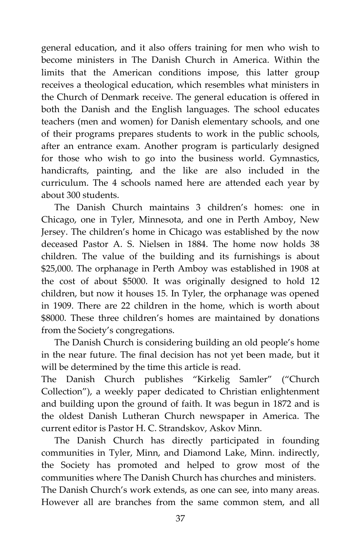general education, and it also offers training for men who wish to become ministers in The Danish Church in America. Within the limits that the American conditions impose, this latter group receives a theological education, which resembles what ministers in the Church of Denmark receive. The general education is offered in both the Danish and the English languages. The school educates teachers (men and women) for Danish elementary schools, and one of their programs prepares students to work in the public schools, after an entrance exam. Another program is particularly designed for those who wish to go into the business world. Gymnastics, handicrafts, painting, and the like are also included in the curriculum. The 4 schools named here are attended each year by about 300 students.

The Danish Church maintains 3 children's homes: one in Chicago, one in Tyler, Minnesota, and one in Perth Amboy, New Jersey. The children's home in Chicago was established by the now deceased Pastor A. S. Nielsen in 1884. The home now holds 38 children. The value of the building and its furnishings is about \$25,000. The orphanage in Perth Amboy was established in 1908 at the cost of about \$5000. It was originally designed to hold 12 children, but now it houses 15. In Tyler, the orphanage was opened in 1909. There are 22 children in the home, which is worth about \$8000. These three children's homes are maintained by donations from the Society's congregations.

The Danish Church is considering building an old people's home in the near future. The final decision has not yet been made, but it will be determined by the time this article is read.

The Danish Church publishes "Kirkelig Samler" ("Church Collection"), a weekly paper dedicated to Christian enlightenment and building upon the ground of faith. It was begun in 1872 and is the oldest Danish Lutheran Church newspaper in America. The current editor is Pastor H. C. Strandskov, Askov Minn.

The Danish Church has directly participated in founding communities in Tyler, Minn, and Diamond Lake, Minn. indirectly, the Society has promoted and helped to grow most of the communities where The Danish Church has churches and ministers. The Danish Church's work extends, as one can see, into many areas.

However all are branches from the same common stem, and all